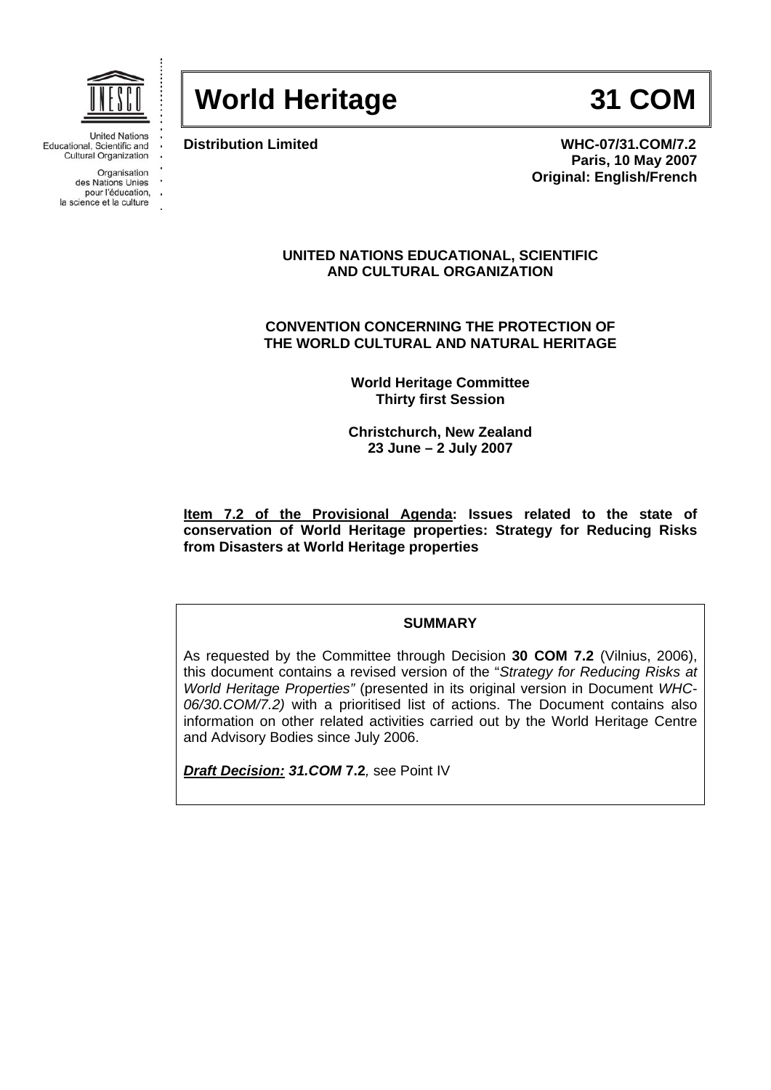

**World Heritage 31 COM** 

**Distribution Limited WHC-07/31.COM/7.2 Paris, 10 May 2007 Original: English/French** 

#### **UNITED NATIONS EDUCATIONAL, SCIENTIFIC AND CULTURAL ORGANIZATION**

**CONVENTION CONCERNING THE PROTECTION OF THE WORLD CULTURAL AND NATURAL HERITAGE** 

> **World Heritage Committee Thirty first Session**

> **Christchurch, New Zealand 23 June – 2 July 2007**

**Item 7.2 of the Provisional Agenda: Issues related to the state of conservation of World Heritage properties: Strategy for Reducing Risks from Disasters at World Heritage properties** 

## **SUMMARY**

As requested by the Committee through Decision **30 COM 7.2** (Vilnius, 2006), this document contains a revised version of the "*Strategy for Reducing Risks at World Heritage Properties"* (presented in its original version in Document *WHC-06/30.COM/7.2)* with a prioritised list of actions. The Document contains also information on other related activities carried out by the World Heritage Centre and Advisory Bodies since July 2006.

*Draft Decision: 31.COM* **7.2***,* see Point IV

Educational, Scientific and **Cultural Organization** 

Organisation

des Nations Unies pour l'éducation,

la science et la culture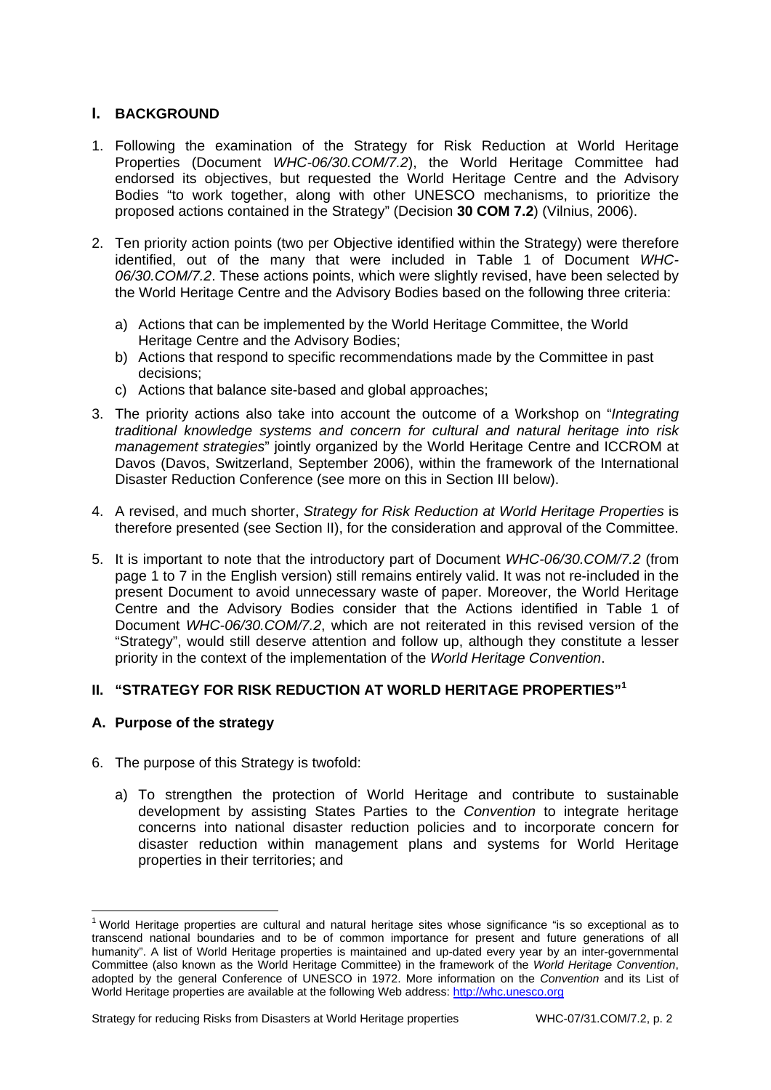## **I. BACKGROUND**

- 1. Following the examination of the Strategy for Risk Reduction at World Heritage Properties (Document *WHC-06/30.COM/7.2*), the World Heritage Committee had endorsed its objectives, but requested the World Heritage Centre and the Advisory Bodies "to work together, along with other UNESCO mechanisms, to prioritize the proposed actions contained in the Strategy" (Decision **30 COM 7.2**) (Vilnius, 2006).
- 2. Ten priority action points (two per Objective identified within the Strategy) were therefore identified, out of the many that were included in Table 1 of Document *WHC-06/30.COM/7.2*. These actions points, which were slightly revised, have been selected by the World Heritage Centre and the Advisory Bodies based on the following three criteria:
	- a) Actions that can be implemented by the World Heritage Committee, the World Heritage Centre and the Advisory Bodies;
	- b) Actions that respond to specific recommendations made by the Committee in past decisions;
	- c) Actions that balance site-based and global approaches;
- 3. The priority actions also take into account the outcome of a Workshop on "*Integrating traditional knowledge systems and concern for cultural and natural heritage into risk management strategies*" jointly organized by the World Heritage Centre and ICCROM at Davos (Davos, Switzerland, September 2006), within the framework of the International Disaster Reduction Conference (see more on this in Section III below).
- 4. A revised, and much shorter, *Strategy for Risk Reduction at World Heritage Properties* is therefore presented (see Section II), for the consideration and approval of the Committee.
- 5. It is important to note that the introductory part of Document *WHC-06/30.COM/7.2* (from page 1 to 7 in the English version) still remains entirely valid. It was not re-included in the present Document to avoid unnecessary waste of paper. Moreover, the World Heritage Centre and the Advisory Bodies consider that the Actions identified in Table 1 of Document *WHC-06/30.COM/7.2*, which are not reiterated in this revised version of the "Strategy", would still deserve attention and follow up, although they constitute a lesser priority in the context of the implementation of the *World Heritage Convention*.

#### **II. "STRATEGY FOR RISK REDUCTION AT WORLD HERITAGE PROPERTIES"<sup>1</sup>**

#### **A. Purpose of the strategy**

1

- 6. The purpose of this Strategy is twofold:
	- a) To strengthen the protection of World Heritage and contribute to sustainable development by assisting States Parties to the *Convention* to integrate heritage concerns into national disaster reduction policies and to incorporate concern for disaster reduction within management plans and systems for World Heritage properties in their territories; and

<sup>&</sup>lt;sup>1</sup> World Heritage properties are cultural and natural heritage sites whose significance "is so exceptional as to transcend national boundaries and to be of common importance for present and future generations of all humanity". A list of World Heritage properties is maintained and up-dated every year by an inter-governmental Committee (also known as the World Heritage Committee) in the framework of the *World Heritage Convention*, adopted by the general Conference of UNESCO in 1972. More information on the *Convention* and its List of World Heritage properties are available at the following Web address: http://whc.unesco.org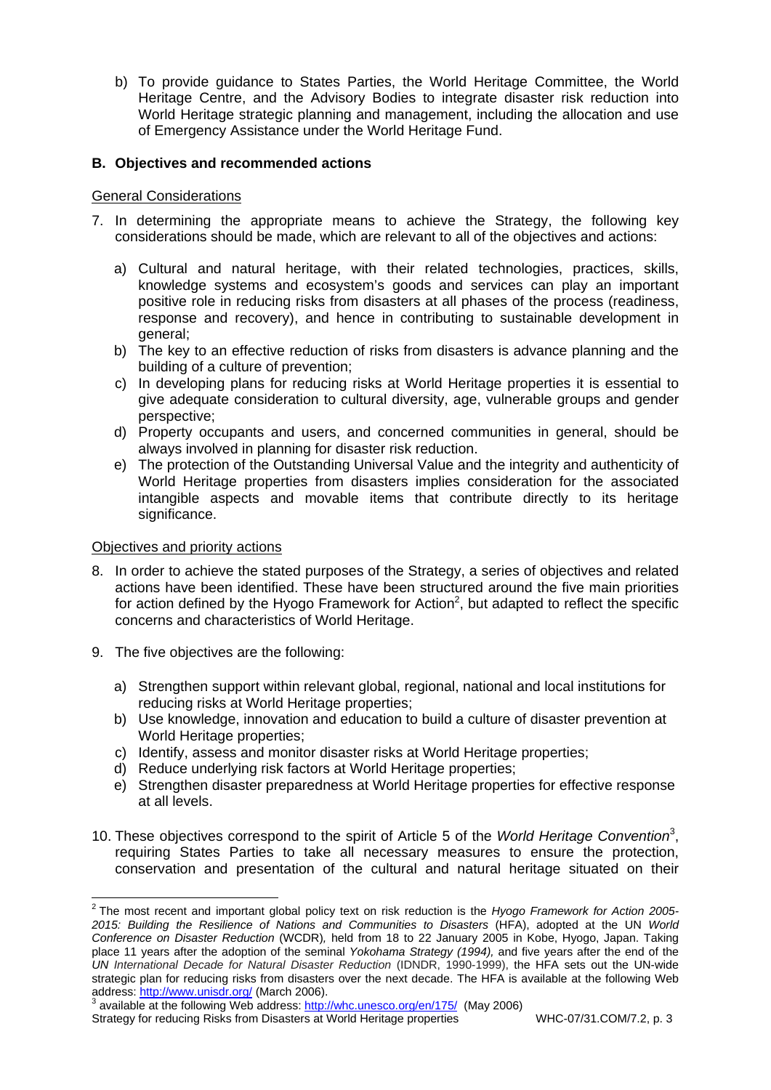b) To provide guidance to States Parties, the World Heritage Committee, the World Heritage Centre, and the Advisory Bodies to integrate disaster risk reduction into World Heritage strategic planning and management, including the allocation and use of Emergency Assistance under the World Heritage Fund.

## **B. Objectives and recommended actions**

#### General Considerations

- 7. In determining the appropriate means to achieve the Strategy, the following key considerations should be made, which are relevant to all of the objectives and actions:
	- a) Cultural and natural heritage, with their related technologies, practices, skills, knowledge systems and ecosystem's goods and services can play an important positive role in reducing risks from disasters at all phases of the process (readiness, response and recovery), and hence in contributing to sustainable development in general;
	- b) The key to an effective reduction of risks from disasters is advance planning and the building of a culture of prevention;
	- c) In developing plans for reducing risks at World Heritage properties it is essential to give adequate consideration to cultural diversity, age, vulnerable groups and gender perspective;
	- d) Property occupants and users, and concerned communities in general, should be always involved in planning for disaster risk reduction.
	- e) The protection of the Outstanding Universal Value and the integrity and authenticity of World Heritage properties from disasters implies consideration for the associated intangible aspects and movable items that contribute directly to its heritage significance.

#### Objectives and priority actions

- 8. In order to achieve the stated purposes of the Strategy, a series of objectives and related actions have been identified. These have been structured around the five main priorities for action defined by the Hyogo Framework for Action<sup>2</sup>, but adapted to reflect the specific concerns and characteristics of World Heritage.
- 9. The five objectives are the following:
	- a) Strengthen support within relevant global, regional, national and local institutions for reducing risks at World Heritage properties;
	- b) Use knowledge, innovation and education to build a culture of disaster prevention at World Heritage properties;
	- c) Identify, assess and monitor disaster risks at World Heritage properties;
	- d) Reduce underlying risk factors at World Heritage properties;
	- e) Strengthen disaster preparedness at World Heritage properties for effective response at all levels.
- 10. These objectives correspond to the spirit of Article 5 of the *World Heritage Convention*<sup>3</sup> , requiring States Parties to take all necessary measures to ensure the protection, conservation and presentation of the cultural and natural heritage situated on their

<sup>3</sup> available at the following Web address: http://whc.unesco.org/en/175/ (May 2006)

 2 The most recent and important global policy text on risk reduction is the *Hyogo Framework for Action 2005- 2015: Building the Resilience of Nations and Communities to Disasters* (HFA), adopted at the UN *World Conference on Disaster Reduction* (WCDR)*,* held from 18 to 22 January 2005 in Kobe, Hyogo, Japan. Taking place 11 years after the adoption of the seminal *Yokohama Strategy (1994),* and five years after the end of the *UN International Decade for Natural Disaster Reduction* (IDNDR, 1990-1999), the HFA sets out the UN-wide strategic plan for reducing risks from disasters over the next decade. The HFA is available at the following Web address: http://www.unisdr.org/ (March 2006).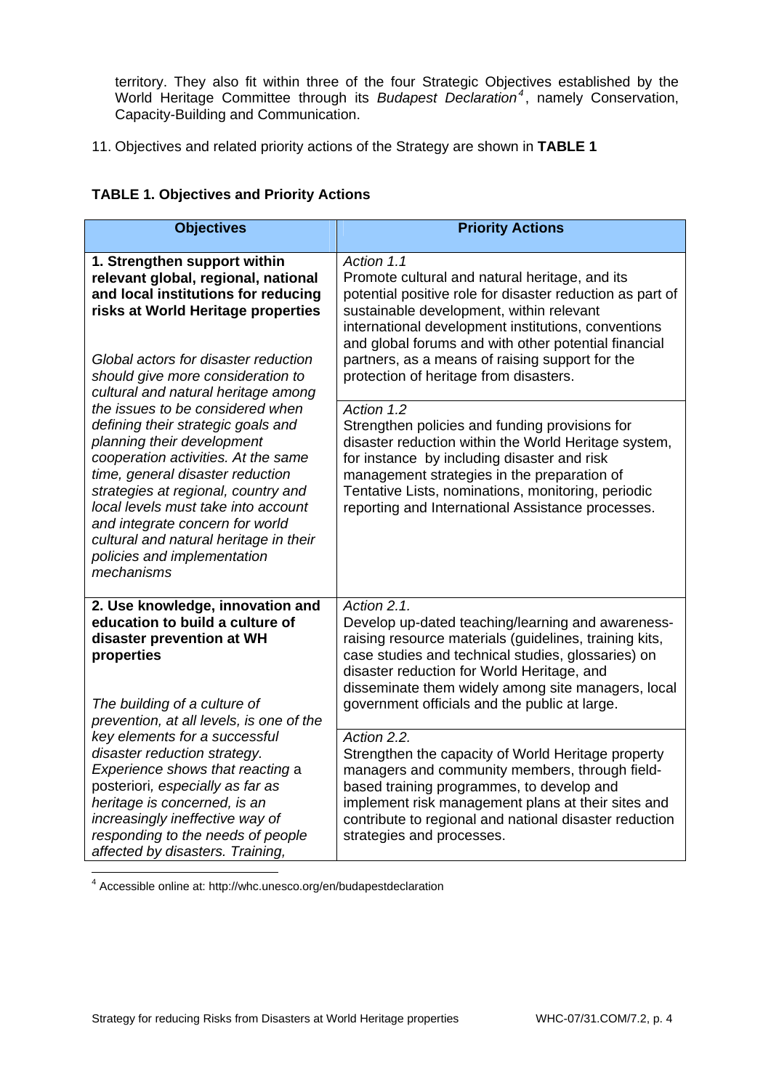territory. They also fit within three of the four Strategic Objectives established by the World Heritage Committee through its *Budapest Declaration<sup>4</sup>* , namely Conservation, Capacity-Building and Communication.

11. Objectives and related priority actions of the Strategy are shown in **TABLE 1**

# **TABLE 1. Objectives and Priority Actions**

| <b>Objectives</b>                                                                                                                                                                                                                                                                                                                                                                                                                                                               | <b>Priority Actions</b>                                                                                                                                                                                                                                                                                                                                                           |
|---------------------------------------------------------------------------------------------------------------------------------------------------------------------------------------------------------------------------------------------------------------------------------------------------------------------------------------------------------------------------------------------------------------------------------------------------------------------------------|-----------------------------------------------------------------------------------------------------------------------------------------------------------------------------------------------------------------------------------------------------------------------------------------------------------------------------------------------------------------------------------|
| 1. Strengthen support within<br>relevant global, regional, national<br>and local institutions for reducing<br>risks at World Heritage properties<br>Global actors for disaster reduction<br>should give more consideration to<br>cultural and natural heritage among                                                                                                                                                                                                            | Action 1.1<br>Promote cultural and natural heritage, and its<br>potential positive role for disaster reduction as part of<br>sustainable development, within relevant<br>international development institutions, conventions<br>and global forums and with other potential financial<br>partners, as a means of raising support for the<br>protection of heritage from disasters. |
| the issues to be considered when<br>defining their strategic goals and<br>planning their development<br>cooperation activities. At the same<br>time, general disaster reduction<br>strategies at regional, country and<br>local levels must take into account<br>and integrate concern for world<br>cultural and natural heritage in their<br>policies and implementation<br>mechanisms                                                                                         | Action 1.2<br>Strengthen policies and funding provisions for<br>disaster reduction within the World Heritage system,<br>for instance by including disaster and risk<br>management strategies in the preparation of<br>Tentative Lists, nominations, monitoring, periodic<br>reporting and International Assistance processes.                                                     |
| 2. Use knowledge, innovation and<br>education to build a culture of<br>disaster prevention at WH<br>properties<br>The building of a culture of<br>prevention, at all levels, is one of the<br>key elements for a successful<br>disaster reduction strategy.<br>Experience shows that reacting a<br>posteriori, especially as far as<br>heritage is concerned, is an<br>increasingly ineffective way of<br>responding to the needs of people<br>affected by disasters. Training, | Action $2.\overline{1}$ .<br>Develop up-dated teaching/learning and awareness-<br>raising resource materials (guidelines, training kits,<br>case studies and technical studies, glossaries) on<br>disaster reduction for World Heritage, and<br>disseminate them widely among site managers, local<br>government officials and the public at large.                               |
|                                                                                                                                                                                                                                                                                                                                                                                                                                                                                 | Action 2.2.<br>Strengthen the capacity of World Heritage property<br>managers and community members, through field-<br>based training programmes, to develop and<br>implement risk management plans at their sites and<br>contribute to regional and national disaster reduction<br>strategies and processes.                                                                     |

4 Accessible online at: http://whc.unesco.org/en/budapestdeclaration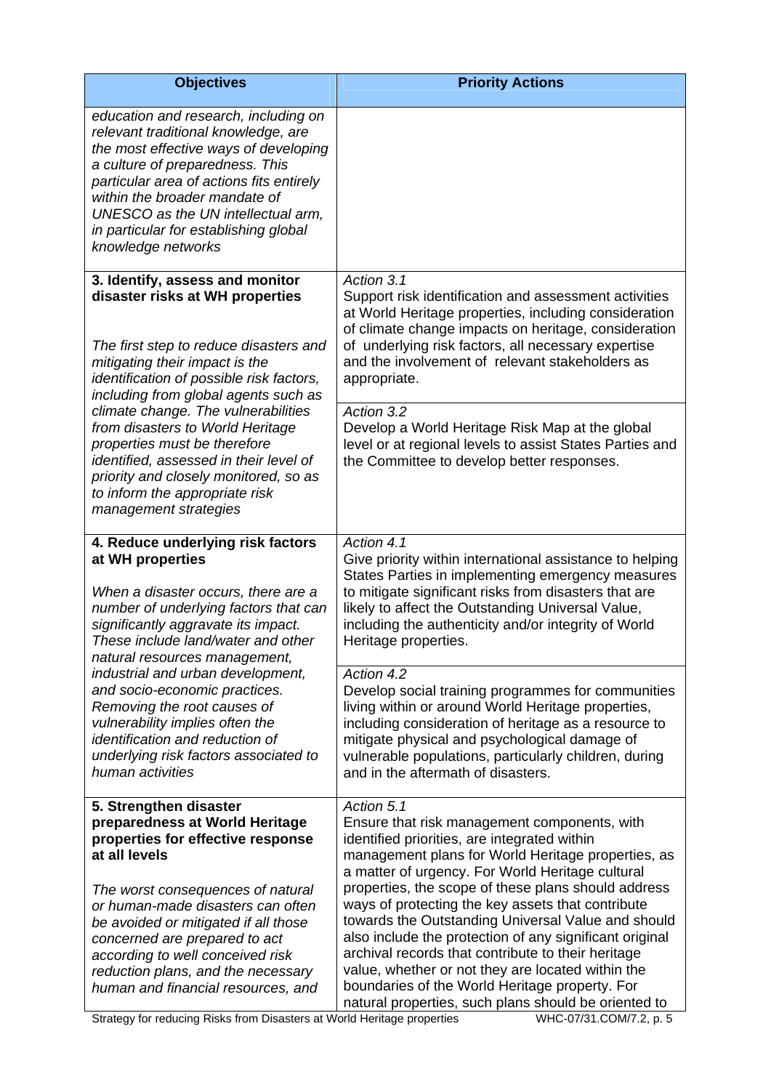| <b>Objectives</b>                                                                                                                                                                                                                                                                                                                                                                                                                                                                           | <b>Priority Actions</b>                                                                                                                                                                                                                                                                                                                                                                                                                                                                                                                                                                                                                                                |
|---------------------------------------------------------------------------------------------------------------------------------------------------------------------------------------------------------------------------------------------------------------------------------------------------------------------------------------------------------------------------------------------------------------------------------------------------------------------------------------------|------------------------------------------------------------------------------------------------------------------------------------------------------------------------------------------------------------------------------------------------------------------------------------------------------------------------------------------------------------------------------------------------------------------------------------------------------------------------------------------------------------------------------------------------------------------------------------------------------------------------------------------------------------------------|
| education and research, including on<br>relevant traditional knowledge, are<br>the most effective ways of developing<br>a culture of preparedness. This<br>particular area of actions fits entirely<br>within the broader mandate of<br>UNESCO as the UN intellectual arm,<br>in particular for establishing global<br>knowledge networks                                                                                                                                                   |                                                                                                                                                                                                                                                                                                                                                                                                                                                                                                                                                                                                                                                                        |
| 3. Identify, assess and monitor<br>disaster risks at WH properties<br>The first step to reduce disasters and<br>mitigating their impact is the<br>identification of possible risk factors,<br>including from global agents such as<br>climate change. The vulnerabilities<br>from disasters to World Heritage<br>properties must be therefore<br>identified, assessed in their level of<br>priority and closely monitored, so as<br>to inform the appropriate risk<br>management strategies | Action 3.1<br>Support risk identification and assessment activities<br>at World Heritage properties, including consideration<br>of climate change impacts on heritage, consideration<br>of underlying risk factors, all necessary expertise<br>and the involvement of relevant stakeholders as<br>appropriate.                                                                                                                                                                                                                                                                                                                                                         |
|                                                                                                                                                                                                                                                                                                                                                                                                                                                                                             | Action 3.2<br>Develop a World Heritage Risk Map at the global<br>level or at regional levels to assist States Parties and<br>the Committee to develop better responses.                                                                                                                                                                                                                                                                                                                                                                                                                                                                                                |
| 4. Reduce underlying risk factors<br>at WH properties<br>When a disaster occurs, there are a<br>number of underlying factors that can<br>significantly aggravate its impact.<br>These include land/water and other<br>natural resources management,<br>industrial and urban development,<br>and socio-economic practices.<br>Removing the root causes of<br>vulnerability implies often the<br>identification and reduction of<br>underlying risk factors associated to<br>human activities | Action 4.1<br>Give priority within international assistance to helping<br>States Parties in implementing emergency measures<br>to mitigate significant risks from disasters that are<br>likely to affect the Outstanding Universal Value,<br>including the authenticity and/or integrity of World<br>Heritage properties.                                                                                                                                                                                                                                                                                                                                              |
|                                                                                                                                                                                                                                                                                                                                                                                                                                                                                             | Action 4.2<br>Develop social training programmes for communities<br>living within or around World Heritage properties,<br>including consideration of heritage as a resource to<br>mitigate physical and psychological damage of<br>vulnerable populations, particularly children, during<br>and in the aftermath of disasters.                                                                                                                                                                                                                                                                                                                                         |
| 5. Strengthen disaster<br>preparedness at World Heritage<br>properties for effective response<br>at all levels<br>The worst consequences of natural<br>or human-made disasters can often<br>be avoided or mitigated if all those<br>concerned are prepared to act<br>according to well conceived risk<br>reduction plans, and the necessary<br>human and financial resources, and                                                                                                           | Action 5.1<br>Ensure that risk management components, with<br>identified priorities, are integrated within<br>management plans for World Heritage properties, as<br>a matter of urgency. For World Heritage cultural<br>properties, the scope of these plans should address<br>ways of protecting the key assets that contribute<br>towards the Outstanding Universal Value and should<br>also include the protection of any significant original<br>archival records that contribute to their heritage<br>value, whether or not they are located within the<br>boundaries of the World Heritage property. For<br>natural properties, such plans should be oriented to |

Strategy for reducing Risks from Disasters at World Heritage properties WHC-07/31.COM/7.2, p. 5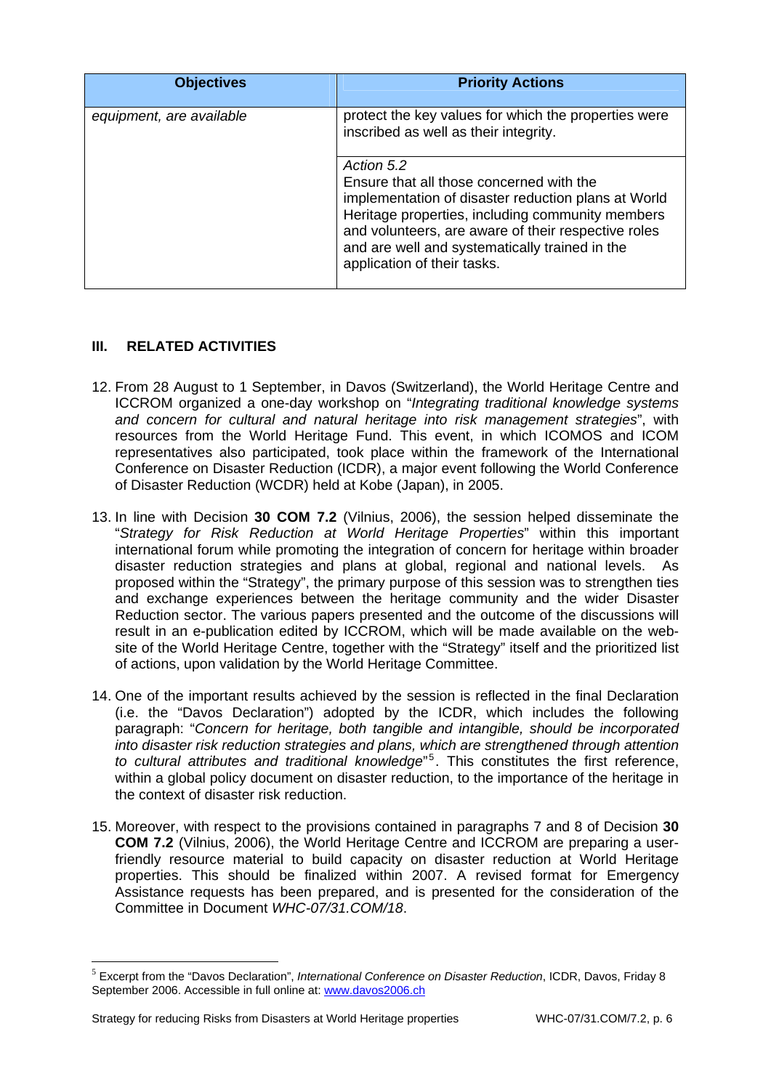| <b>Objectives</b>        | <b>Priority Actions</b>                                                                                                                                                                                                                                                                                   |
|--------------------------|-----------------------------------------------------------------------------------------------------------------------------------------------------------------------------------------------------------------------------------------------------------------------------------------------------------|
| equipment, are available | protect the key values for which the properties were<br>inscribed as well as their integrity.                                                                                                                                                                                                             |
|                          | Action 5.2<br>Ensure that all those concerned with the<br>implementation of disaster reduction plans at World<br>Heritage properties, including community members<br>and volunteers, are aware of their respective roles<br>and are well and systematically trained in the<br>application of their tasks. |

## **III. RELATED ACTIVITIES**

- 12. From 28 August to 1 September, in Davos (Switzerland), the World Heritage Centre and ICCROM organized a one-day workshop on "*Integrating traditional knowledge systems and concern for cultural and natural heritage into risk management strategies*", with resources from the World Heritage Fund. This event, in which ICOMOS and ICOM representatives also participated, took place within the framework of the International Conference on Disaster Reduction (ICDR), a major event following the World Conference of Disaster Reduction (WCDR) held at Kobe (Japan), in 2005.
- 13. In line with Decision **30 COM 7.2** (Vilnius, 2006), the session helped disseminate the "*Strategy for Risk Reduction at World Heritage Properties*" within this important international forum while promoting the integration of concern for heritage within broader disaster reduction strategies and plans at global, regional and national levels. As proposed within the "Strategy", the primary purpose of this session was to strengthen ties and exchange experiences between the heritage community and the wider Disaster Reduction sector. The various papers presented and the outcome of the discussions will result in an e-publication edited by ICCROM, which will be made available on the website of the World Heritage Centre, together with the "Strategy" itself and the prioritized list of actions, upon validation by the World Heritage Committee.
- 14. One of the important results achieved by the session is reflected in the final Declaration (i.e. the "Davos Declaration") adopted by the ICDR, which includes the following paragraph: "*Concern for heritage, both tangible and intangible, should be incorporated into disaster risk reduction strategies and plans, which are strengthened through attention*  to cultural attributes and traditional knowledge<sup>"5</sup>. This constitutes the first reference, within a global policy document on disaster reduction, to the importance of the heritage in the context of disaster risk reduction.
- 15. Moreover, with respect to the provisions contained in paragraphs 7 and 8 of Decision **30 COM 7.2** (Vilnius, 2006), the World Heritage Centre and ICCROM are preparing a userfriendly resource material to build capacity on disaster reduction at World Heritage properties. This should be finalized within 2007. A revised format for Emergency Assistance requests has been prepared, and is presented for the consideration of the Committee in Document *WHC-07/31.COM/18*.

<u>.</u>

<sup>5</sup> Excerpt from the "Davos Declaration", *International Conference on Disaster Reduction*, ICDR, Davos, Friday 8 September 2006. Accessible in full online at: www.davos2006.ch